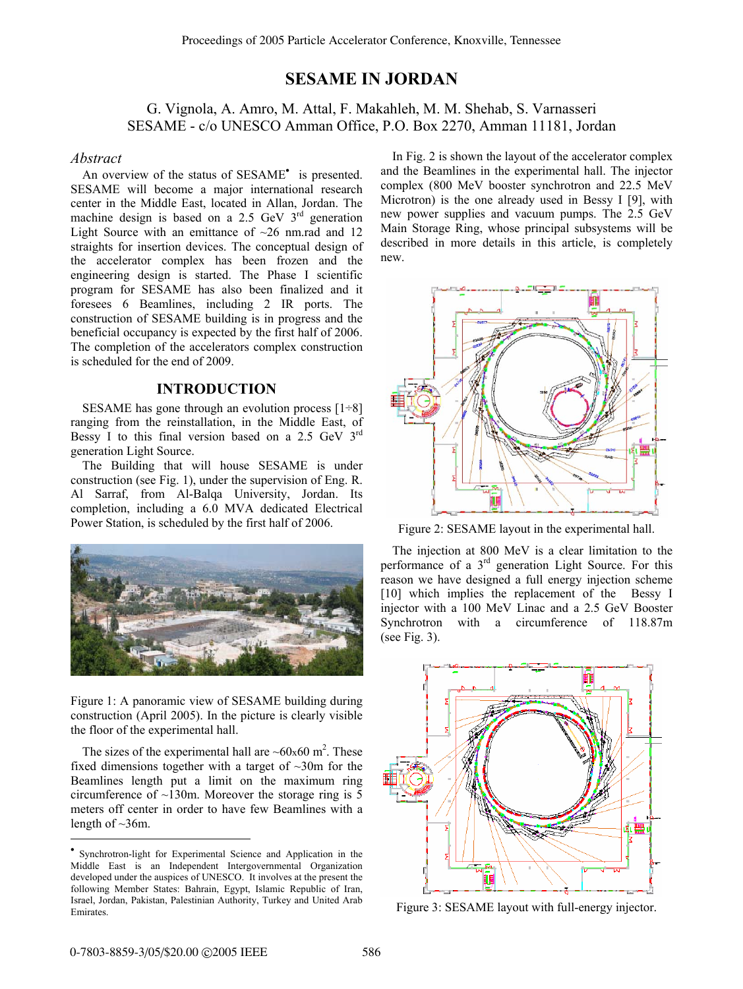# **SESAME IN JORDAN**

## G. Vignola, A. Amro, M. Attal, F. Makahleh, M. M. Shehab, S. Varnasseri SESAME - c/o UNESCO Amman Office, P.O. Box 2270, Amman 11181, Jordan

## *Abstract*

An overview of the status of SESAME<sup>•</sup> is presented. SESAME will become a major international research center in the Middle East, located in Allan, Jordan. The machine design is based on a 2.5 GeV  $3<sup>rd</sup>$  generation Light Source with an emittance of  $\sim$ 26 nm.rad and 12 straights for insertion devices. The conceptual design of the accelerator complex has been frozen and the engineering design is started. The Phase I scientific program for SESAME has also been finalized and it foresees 6 Beamlines, including 2 IR ports. The construction of SESAME building is in progress and the beneficial occupancy is expected by the first half of 2006. The completion of the accelerators complex construction is scheduled for the end of 2009.

## **INTRODUCTION**

SESAME has gone through an evolution process  $[1\div 8]$ ranging from the reinstallation, in the Middle East, of Bessy I to this final version based on a 2.5 GeV 3<sup>rd</sup> generation Light Source.

The Building that will house SESAME is under construction (see Fig. 1), under the supervision of Eng. R. Al Sarraf, from Al-Balqa University, Jordan. Its completion, including a 6.0 MVA dedicated Electrical Power Station, is scheduled by the first half of 2006.



Figure 1: A panoramic view of SESAME building during construction (April 2005). In the picture is clearly visible the floor of the experimental hall.

The sizes of the experimental hall are  $\sim 60 \times 60$  m<sup>2</sup>. These fixed dimensions together with a target of ~30m for the Beamlines length put a limit on the maximum ring circumference of  $\sim$ 130m. Moreover the storage ring is 5 meters off center in order to have few Beamlines with a length of  $\sim$ 36m.

In Fig. 2 is shown the layout of the accelerator complex and the Beamlines in the experimental hall. The injector complex (800 MeV booster synchrotron and 22.5 MeV Microtron) is the one already used in Bessy I [9], with new power supplies and vacuum pumps. The 2.5 GeV Main Storage Ring, whose principal subsystems will be described in more details in this article, is completely new.



Figure 2: SESAME layout in the experimental hall.

The injection at 800 MeV is a clear limitation to the performance of a 3rd generation Light Source. For this reason we have designed a full energy injection scheme [10] which implies the replacement of the Bessy I injector with a 100 MeV Linac and a 2.5 GeV Booster Synchrotron with a circumference of 118.87m (see Fig. 3).



Figure 3: SESAME layout with full-energy injector.

l

<sup>•</sup> Synchrotron-light for Experimental Science and Application in the Middle East is an Independent Intergovernmental Organization developed under the auspices of UNESCO. It involves at the present the following Member States: Bahrain, Egypt, Islamic Republic of Iran, Israel, Jordan, Pakistan, Palestinian Authority, Turkey and United Arab Emirates.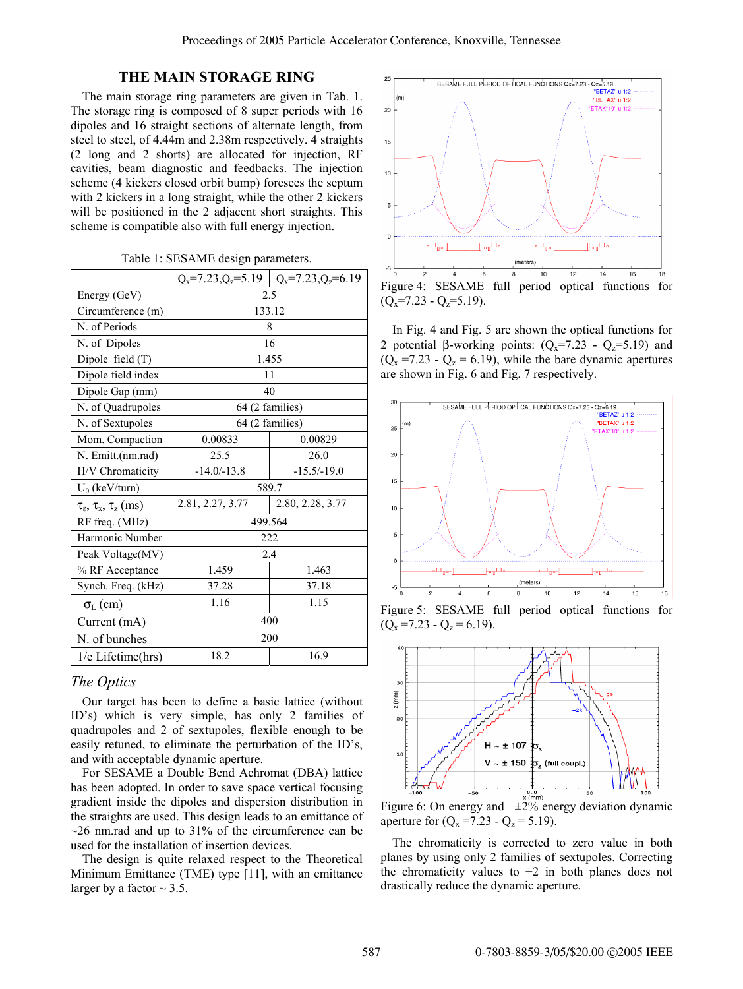## **THE MAIN STORAGE RING**

The main storage ring parameters are given in Tab. 1. The storage ring is composed of 8 super periods with 16 dipoles and 16 straight sections of alternate length, from steel to steel, of 4.44m and 2.38m respectively. 4 straights (2 long and 2 shorts) are allocated for injection, RF cavities, beam diagnostic and feedbacks. The injection scheme (4 kickers closed orbit bump) foresees the septum with 2 kickers in a long straight, while the other 2 kickers will be positioned in the 2 adjacent short straights. This scheme is compatible also with full energy injection.

|                                                          | $Q_x = 7.23$ , $Q_z = 5.19$ | $Q_x = 7.23$ , $Q_z = 6.19$ |
|----------------------------------------------------------|-----------------------------|-----------------------------|
| Energy (GeV)                                             | 2.5                         |                             |
| Circumference (m)                                        | 133.12                      |                             |
| N. of Periods                                            | 8                           |                             |
| N. of Dipoles                                            | 16                          |                             |
| Dipole field (T)                                         | 1.455                       |                             |
| Dipole field index                                       | 11                          |                             |
| Dipole Gap (mm)                                          | 40                          |                             |
| N. of Quadrupoles                                        | 64 (2 families)             |                             |
| N. of Sextupoles                                         | 64 (2 families)             |                             |
| Mom. Compaction                                          | 0.00833                     | 0.00829                     |
| N. Emitt.(nm.rad)                                        | 25.5                        | 26.0                        |
| H/V Chromaticity                                         | $-14.0/-13.8$               | $-15.5/-19.0$               |
| $U_0$ (keV/turn)                                         | 589.7                       |                             |
| $\tau_{\epsilon}$ , $\tau_{\rm x}$ , $\tau_{\rm z}$ (ms) | 2.81, 2.27, 3.77            | 2.80, 2.28, 3.77            |
| RF freq. (MHz)                                           | 499.564                     |                             |
| Harmonic Number                                          | 222                         |                             |
| Peak Voltage(MV)                                         | 2.4                         |                             |
| % RF Acceptance                                          | 1.459                       | 1.463                       |
| Synch. Freq. (kHz)                                       | 37.28                       | 37.18                       |
| $\sigma_{L}$ (cm)                                        | 1.16                        | 1.15                        |
| Current (mA)                                             | 400                         |                             |
| N. of bunches                                            | 200                         |                             |
| 1/e Lifetime(hrs)                                        | 18.2                        | 16.9                        |

## *The Optics*

Our target has been to define a basic lattice (without ID's) which is very simple, has only 2 families of quadrupoles and 2 of sextupoles, flexible enough to be easily retuned, to eliminate the perturbation of the ID's, and with acceptable dynamic aperture.

For SESAME a Double Bend Achromat (DBA) lattice has been adopted. In order to save space vertical focusing gradient inside the dipoles and dispersion distribution in the straights are used. This design leads to an emittance of  $\sim$ 26 nm.rad and up to 31% of the circumference can be used for the installation of insertion devices.

The design is quite relaxed respect to the Theoretical Minimum Emittance (TME) type [11], with an emittance larger by a factor  $\sim$  3.5.



In Fig. 4 and Fig. 5 are shown the optical functions for 2 potential β-working points:  $(Q_x=7.23 - Q_z=5.19)$  and  $(Q_x = 7.23 - Q_z = 6.19)$ , while the bare dynamic apertures are shown in Fig. 6 and Fig. 7 respectively.



Figure 5: SESAME full period optical functions for  $(Q_x = 7.23 - Q_z = 6.19)$ .



Figure 6: On energy and  $\pm 2\%$  energy deviation dynamic aperture for  $(Q_x = 7.23 - Q_z = 5.19)$ .

The chromaticity is corrected to zero value in both planes by using only 2 families of sextupoles. Correcting the chromaticity values to  $+2$  in both planes does not drastically reduce the dynamic aperture.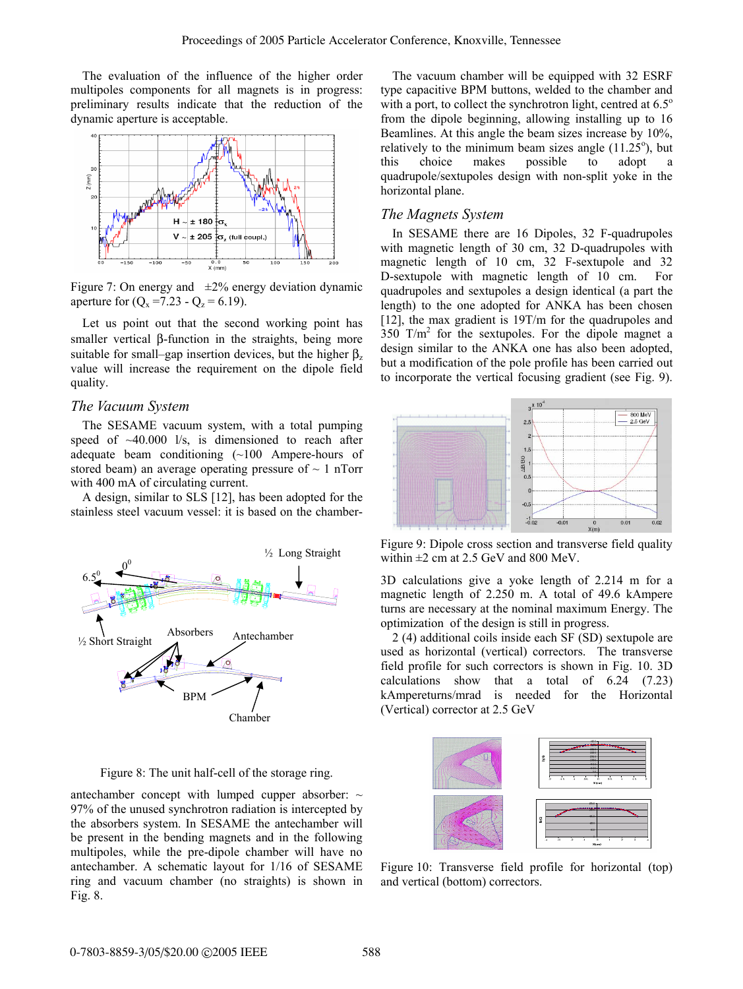The evaluation of the influence of the higher order multipoles components for all magnets is in progress: preliminary results indicate that the reduction of the dynamic aperture is acceptable.



Figure 7: On energy and  $\pm 2\%$  energy deviation dynamic aperture for  $(Q_x = 7.23 - Q_z = 6.19)$ .

Let us point out that the second working point has smaller vertical β-function in the straights, being more suitable for small–gap insertion devices, but the higher  $\beta$ <sub>z</sub> value will increase the requirement on the dipole field quality.

## *The Vacuum System*

The SESAME vacuum system, with a total pumping speed of  $~40.000$  l/s, is dimensioned to reach after adequate beam conditioning (~100 Ampere-hours of stored beam) an average operating pressure of  $\sim 1$  nTorr with 400 mA of circulating current.

A design, similar to SLS [12], has been adopted for the stainless steel vacuum vessel: it is based on the chamber-



Figure 8: The unit half-cell of the storage ring.

antechamber concept with lumped cupper absorber:  $\sim$ 97% of the unused synchrotron radiation is intercepted by the absorbers system. In SESAME the antechamber will be present in the bending magnets and in the following multipoles, while the pre-dipole chamber will have no antechamber. A schematic layout for 1/16 of SESAME ring and vacuum chamber (no straights) is shown in Fig. 8.

The vacuum chamber will be equipped with 32 ESRF type capacitive BPM buttons, welded to the chamber and with a port, to collect the synchrotron light, centred at  $6.5^\circ$ from the dipole beginning, allowing installing up to 16 Beamlines. At this angle the beam sizes increase by 10%, relatively to the minimum beam sizes angle  $(11.25^{\circ})$ , but this choice makes possible to adopt a quadrupole/sextupoles design with non-split yoke in the horizontal plane.

## *The Magnets System*

In SESAME there are 16 Dipoles, 32 F-quadrupoles with magnetic length of 30 cm, 32 D-quadrupoles with magnetic length of 10 cm, 32 F-sextupole and 32 D-sextupole with magnetic length of 10 cm. For quadrupoles and sextupoles a design identical (a part the length) to the one adopted for ANKA has been chosen [12], the max gradient is 19T/m for the quadrupoles and 350  $T/m^2$  for the sextupoles. For the dipole magnet a design similar to the ANKA one has also been adopted, but a modification of the pole profile has been carried out to incorporate the vertical focusing gradient (see Fig. 9).



Figure 9: Dipole cross section and transverse field quality within ±2 cm at 2.5 GeV and 800 MeV.

3D calculations give a yoke length of 2.214 m for a magnetic length of 2.250 m. A total of 49.6 kAmpere turns are necessary at the nominal maximum Energy. The optimization of the design is still in progress.

2 (4) additional coils inside each SF (SD) sextupole are used as horizontal (vertical) correctors. The transverse field profile for such correctors is shown in Fig. 10. 3D calculations show that a total of 6.24 (7.23) kAmpereturns/mrad is needed for the Horizontal (Vertical) corrector at 2.5 GeV



Figure 10: Transverse field profile for horizontal (top) and vertical (bottom) correctors.